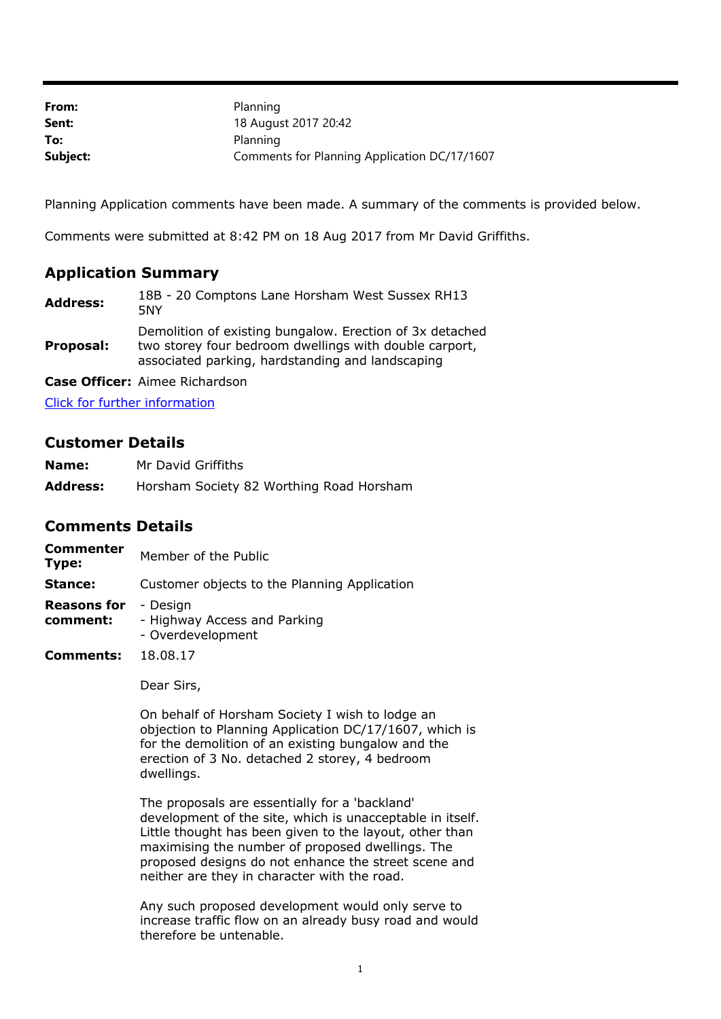| From:    | Planning                                     |
|----------|----------------------------------------------|
| Sent:    | 18 August 2017 20:42                         |
| To:      | Planning                                     |
| Subject: | Comments for Planning Application DC/17/1607 |

Planning Application comments have been made. A summary of the comments is provided below.

Comments were submitted at 8:42 PM on 18 Aug 2017 from Mr David Griffiths.

## **Application Summary**

| <b>Address:</b> | 18B - 20 Comptons Lane Horsham West Sussex RH13<br>5NY                                                                                                                 |
|-----------------|------------------------------------------------------------------------------------------------------------------------------------------------------------------------|
| Proposal:       | Demolition of existing bungalow. Erection of 3x detached<br>two storey four bedroom dwellings with double carport,<br>associated parking, hardstanding and landscaping |

**Case Officer:** Aimee Richardson

[Click for further information](https://public-access.horsham.gov.uk/public-access//centralDistribution.do?caseType=Application&keyVal=OTA72UIJ07D00)

## **Customer Details**

| Name:           | Mr David Griffiths                       |
|-----------------|------------------------------------------|
| <b>Address:</b> | Horsham Society 82 Worthing Road Horsham |

## **Comments Details**

| <b>Commenter</b><br>Type:      | Member of the Public                                          |
|--------------------------------|---------------------------------------------------------------|
| Stance:                        | Customer objects to the Planning Application                  |
| <b>Reasons for</b><br>comment: | - Design<br>- Highway Access and Parking<br>- Overdevelopment |
| Comments:                      | 18.08.17                                                      |

Dear Sirs,

On behalf of Horsham Society I wish to lodge an objection to Planning Application DC/17/1607, which is for the demolition of an existing bungalow and the erection of 3 No. detached 2 storey, 4 bedroom dwellings.

The proposals are essentially for a 'backland' development of the site, which is unacceptable in itself. Little thought has been given to the layout, other than maximising the number of proposed dwellings. The proposed designs do not enhance the street scene and neither are they in character with the road.

Any such proposed development would only serve to increase traffic flow on an already busy road and would therefore be untenable.